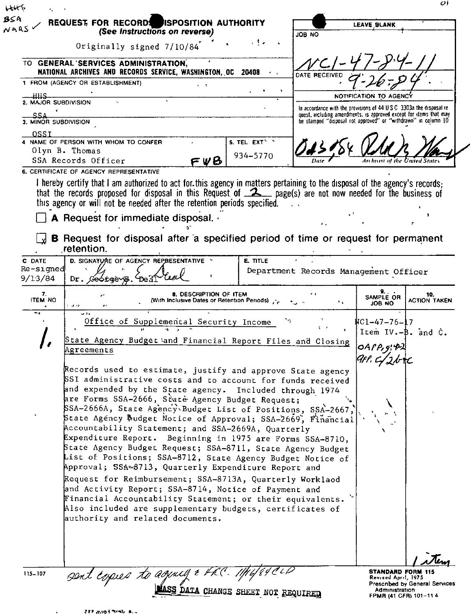| NARSY                       | REQUEST FOR RECORDS ISPOSITION AUTHORITY<br>(See Instructions on reverse)                                                                                                                                                                                          |                         | LEAVE BLANK                                                                                                                                 |                        |                            |
|-----------------------------|--------------------------------------------------------------------------------------------------------------------------------------------------------------------------------------------------------------------------------------------------------------------|-------------------------|---------------------------------------------------------------------------------------------------------------------------------------------|------------------------|----------------------------|
|                             |                                                                                                                                                                                                                                                                    | $\mathcal{A}$           | JOB NO                                                                                                                                      |                        |                            |
|                             | Originally signed 7/10/84                                                                                                                                                                                                                                          |                         |                                                                                                                                             |                        |                            |
|                             | TO GENERAL SERVICES ADMINISTRATION,<br>NATIONAL ARCHIVES AND RECORDS SERVICE, WASHINGTON, OC 20408                                                                                                                                                                 | $\sigma_{\rm{max}}$     |                                                                                                                                             |                        |                            |
|                             | 1 FROM (AGENCY OR ESTABLISHMENT)<br>, ,                                                                                                                                                                                                                            |                         | DATE RECEI                                                                                                                                  |                        |                            |
| HHS                         |                                                                                                                                                                                                                                                                    |                         |                                                                                                                                             | NOTIFICATION TO AGENCY |                            |
| 2. MAJOR SUBDIVISION        |                                                                                                                                                                                                                                                                    |                         | In accordance with the provisions of 44 U.S.C. 3303a the disposal re-<br>quest, including amendments, is approved except for items that may |                        |                            |
| SSA<br>3. MINOR SUBDIVISION |                                                                                                                                                                                                                                                                    |                         | be stamped "disposal not approved" or "withdrawn" in column 10                                                                              |                        |                            |
| OSSI                        | 4 NAME OF PERSON WITH WHOM TO CONFER                                                                                                                                                                                                                               | 5. TEL EXT <sup>S</sup> |                                                                                                                                             |                        |                            |
|                             | Olyn B. Thomas                                                                                                                                                                                                                                                     | 934-5770                |                                                                                                                                             |                        |                            |
|                             | SSA Records Officer<br>FVB                                                                                                                                                                                                                                         |                         |                                                                                                                                             |                        |                            |
|                             | 6. CERTIFICATE OF AGENCY REPRESENTATIVE                                                                                                                                                                                                                            |                         |                                                                                                                                             |                        |                            |
|                             | I hereby certify that I am authorized to act for this agency in matters pertaining to the disposal of the agency's records;<br>that the records proposed for disposal in this Request of $\mathcal{Z}_{\text{max}}$ page(s) are not now needed for the business of |                         |                                                                                                                                             |                        |                            |
|                             | this agency or will not be needed after the retention periods specified.                                                                                                                                                                                           |                         |                                                                                                                                             |                        |                            |
|                             | A Request for immediate disposal.                                                                                                                                                                                                                                  |                         |                                                                                                                                             |                        |                            |
|                             |                                                                                                                                                                                                                                                                    |                         |                                                                                                                                             |                        |                            |
|                             | B Request for disposal after a specified period of time or request for permanent<br>retention.                                                                                                                                                                     |                         |                                                                                                                                             |                        |                            |
| C DATE                      | D. SIGNATURE OF AGENCY REPRESENTATIVE                                                                                                                                                                                                                              | E. TITLE                |                                                                                                                                             |                        |                            |
| Re-signed                   |                                                                                                                                                                                                                                                                    |                         | Department Records Management Officer                                                                                                       |                        |                            |
| 9/13/84                     | Dr. Geotgevy                                                                                                                                                                                                                                                       |                         |                                                                                                                                             |                        |                            |
| 7.<br><b>ITEM NO</b>        | 8. DESCRIPTION OF ITEM<br>(With Inclusive Dates or Retention Periods) pre-<br>ود ق                                                                                                                                                                                 |                         | ٠.                                                                                                                                          | SAMPLE OR<br>JOB NO    | 10.<br><b>ACTION TAKEN</b> |
| ٠.                          | او د ب<br>Office of Supplemental Security Income                                                                                                                                                                                                                   |                         |                                                                                                                                             | NC1-47-76-17           |                            |
|                             |                                                                                                                                                                                                                                                                    |                         |                                                                                                                                             |                        |                            |
|                             |                                                                                                                                                                                                                                                                    |                         |                                                                                                                                             | Item IV. - B. and C.   |                            |
|                             | State Agency Budget and Financial Report Files and Closing<br>Agreements                                                                                                                                                                                           |                         |                                                                                                                                             | OAPP, g/P              |                            |
|                             |                                                                                                                                                                                                                                                                    |                         |                                                                                                                                             | 9f 1, C J 2N           |                            |
|                             | Records used to estimate, justify and approve State agency                                                                                                                                                                                                         |                         |                                                                                                                                             |                        |                            |
|                             | SSI administrative costs and to account for funds received                                                                                                                                                                                                         |                         |                                                                                                                                             |                        |                            |
|                             | and expended by the State agency. Included through 1974<br>are Forms SSA-2666, State Agency Budget Request;                                                                                                                                                        |                         |                                                                                                                                             |                        |                            |
|                             | SSA-2666A, State Agency Budget List of Positions, SSA-2667,                                                                                                                                                                                                        |                         |                                                                                                                                             |                        |                            |
|                             | State Agency Budget Notice of Approval; SSA-2669, Financial<br>Accountability Statement; and SSA-2669A, Quarterly                                                                                                                                                  |                         |                                                                                                                                             |                        |                            |
|                             | Expenditure Report. Beginning in 1975 are Forms SSA-8710,                                                                                                                                                                                                          |                         |                                                                                                                                             |                        |                            |
|                             | State Agency Budget Request; SSA-8711, State Agency Budget                                                                                                                                                                                                         |                         |                                                                                                                                             |                        |                            |
|                             | List of Positions; SSA-8712, State Agency Budget Notice of<br>Approval; SSA=8713, Quarterly Expenditure Report and                                                                                                                                                 |                         |                                                                                                                                             |                        |                            |
|                             | Request for Reimbursement; SSA-8713A, Quarterly Worklaod                                                                                                                                                                                                           |                         |                                                                                                                                             |                        |                            |
|                             | and Activity Report; SSA-8714, Notice of Payment and                                                                                                                                                                                                               |                         |                                                                                                                                             |                        |                            |
|                             | Financial Accountability Statement; or their equivalents. "<br>Also included are supplementary budgets, certificates of                                                                                                                                            |                         |                                                                                                                                             |                        |                            |
|                             | authority and related documents.                                                                                                                                                                                                                                   |                         |                                                                                                                                             |                        |                            |
|                             |                                                                                                                                                                                                                                                                    |                         |                                                                                                                                             |                        |                            |
|                             |                                                                                                                                                                                                                                                                    |                         |                                                                                                                                             |                        |                            |
|                             | sent copies to agency & FR.                                                                                                                                                                                                                                        |                         |                                                                                                                                             |                        |                            |

| EFF mand forms a. |
|-------------------|
|-------------------|

 $\ddot{\phantom{0}}$